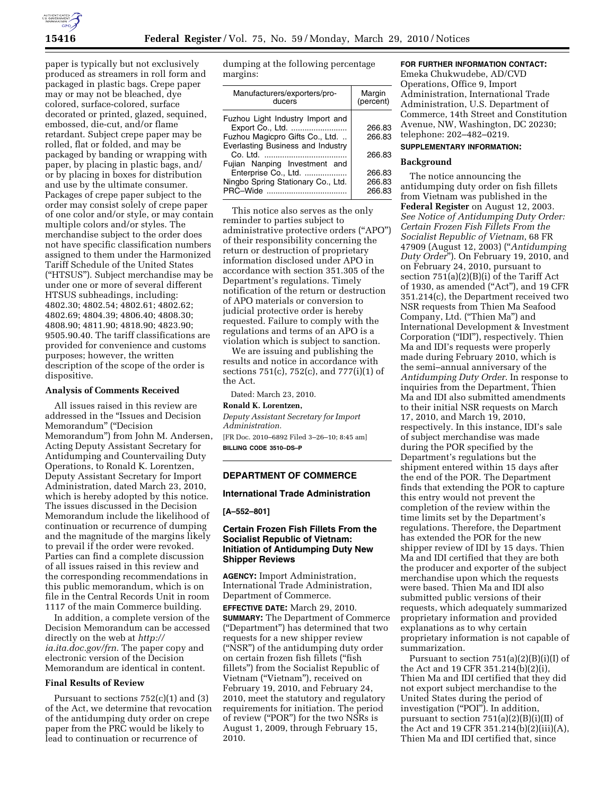

paper is typically but not exclusively produced as streamers in roll form and packaged in plastic bags. Crepe paper may or may not be bleached, dye colored, surface-colored, surface decorated or printed, glazed, sequined, embossed, die-cut, and/or flame retardant. Subject crepe paper may be rolled, flat or folded, and may be packaged by banding or wrapping with paper, by placing in plastic bags, and/ or by placing in boxes for distribution and use by the ultimate consumer. Packages of crepe paper subject to the order may consist solely of crepe paper of one color and/or style, or may contain multiple colors and/or styles. The merchandise subject to the order does not have specific classification numbers assigned to them under the Harmonized Tariff Schedule of the United States (''HTSUS''). Subject merchandise may be under one or more of several different HTSUS subheadings, including: 4802.30; 4802.54; 4802.61; 4802.62; 4802.69; 4804.39; 4806.40; 4808.30; 4808.90; 4811.90; 4818.90; 4823.90; 9505.90.40. The tariff classifications are provided for convenience and customs purposes; however, the written description of the scope of the order is dispositive.

### **Analysis of Comments Received**

All issues raised in this review are addressed in the ''Issues and Decision Memorandum" ("Decision Memorandum'') from John M. Andersen, Acting Deputy Assistant Secretary for Antidumping and Countervailing Duty Operations, to Ronald K. Lorentzen, Deputy Assistant Secretary for Import Administration, dated March 23, 2010, which is hereby adopted by this notice. The issues discussed in the Decision Memorandum include the likelihood of continuation or recurrence of dumping and the magnitude of the margins likely to prevail if the order were revoked. Parties can find a complete discussion of all issues raised in this review and the corresponding recommendations in this public memorandum, which is on file in the Central Records Unit in room 1117 of the main Commerce building.

In addition, a complete version of the Decision Memorandum can be accessed directly on the web at *http:// ia.ita.doc.gov/frn.* The paper copy and electronic version of the Decision Memorandum are identical in content.

# **Final Results of Review**

Pursuant to sections  $752(c)(1)$  and  $(3)$ of the Act, we determine that revocation of the antidumping duty order on crepe paper from the PRC would be likely to lead to continuation or recurrence of

dumping at the following percentage margins:

| Manufacturers/exporters/pro-<br>ducers | Margin<br>(percent) |
|----------------------------------------|---------------------|
| Fuzhou Light Industry Import and       |                     |
| Export Co., Ltd.                       | 266.83              |
| Fuzhou Magicpro Gifts Co., Ltd.        | 266.83              |
| Everlasting Business and Industry      |                     |
|                                        | 266.83              |
| Fujian Nanping Investment and          |                     |
| Enterprise Co., Ltd.                   | 266.83              |
| Ningbo Spring Stationary Co., Ltd.     | 266.83              |
| PRC-Wide                               | 266.83              |
|                                        |                     |

This notice also serves as the only reminder to parties subject to administrative protective orders (''APO'') of their responsibility concerning the return or destruction of proprietary information disclosed under APO in accordance with section 351.305 of the Department's regulations. Timely notification of the return or destruction of APO materials or conversion to judicial protective order is hereby requested. Failure to comply with the regulations and terms of an APO is a violation which is subject to sanction.

We are issuing and publishing the results and notice in accordance with sections 751(c), 752(c), and 777(i)(1) of the Act.

Dated: March 23, 2010.

### **Ronald K. Lorentzen,**

*Deputy Assistant Secretary for Import Administration.* 

[FR Doc. 2010–6892 Filed 3–26–10; 8:45 am] **BILLING CODE 3510–DS–P** 

# **DEPARTMENT OF COMMERCE**

### **International Trade Administration**

**[A–552–801]** 

# **Certain Frozen Fish Fillets From the Socialist Republic of Vietnam: Initiation of Antidumping Duty New Shipper Reviews**

**AGENCY:** Import Administration, International Trade Administration, Department of Commerce.

**EFFECTIVE DATE:** March 29, 2010. **SUMMARY:** The Department of Commerce (''Department'') has determined that two requests for a new shipper review (''NSR'') of the antidumping duty order on certain frozen fish fillets (''fish fillets'') from the Socialist Republic of Vietnam (''Vietnam''), received on February 19, 2010, and February 24, 2010, meet the statutory and regulatory requirements for initiation. The period of review (''POR'') for the two NSRs is August 1, 2009, through February 15, 2010.

## **FOR FURTHER INFORMATION CONTACT:**

Emeka Chukwudebe, AD/CVD Operations, Office 9, Import Administration, International Trade Administration, U.S. Department of Commerce, 14th Street and Constitution Avenue, NW, Washington, DC 20230; telephone: 202–482–0219.

#### **SUPPLEMENTARY INFORMATION:**

#### **Background**

The notice announcing the antidumping duty order on fish fillets from Vietnam was published in the **Federal Register** on August 12, 2003. *See Notice of Antidumping Duty Order: Certain Frozen Fish Fillets From the Socialist Republic of Vietnam*, 68 FR 47909 (August 12, 2003) (''*Antidumping Duty Order*''). On February 19, 2010, and on February 24, 2010, pursuant to section 751(a)(2)(B)(i) of the Tariff Act of 1930, as amended ("Act"), and 19 CFR 351.214(c), the Department received two NSR requests from Thien Ma Seafood Company, Ltd. (''Thien Ma'') and International Development & Investment Corporation (''IDI''), respectively. Thien Ma and IDI's requests were properly made during February 2010, which is the semi–annual anniversary of the *Antidumping Duty Order*. In response to inquiries from the Department, Thien Ma and IDI also submitted amendments to their initial NSR requests on March 17, 2010, and March 19, 2010, respectively. In this instance, IDI's sale of subject merchandise was made during the POR specified by the Department's regulations but the shipment entered within 15 days after the end of the POR. The Department finds that extending the POR to capture this entry would not prevent the completion of the review within the time limits set by the Department's regulations. Therefore, the Department has extended the POR for the new shipper review of IDI by 15 days. Thien Ma and IDI certified that they are both the producer and exporter of the subject merchandise upon which the requests were based. Thien Ma and IDI also submitted public versions of their requests, which adequately summarized proprietary information and provided explanations as to why certain proprietary information is not capable of summarization.

Pursuant to section 751(a)(2)(B)(i)(I) of the Act and 19 CFR 351.214(b)(2)(i), Thien Ma and IDI certified that they did not export subject merchandise to the United States during the period of investigation ("POI"). In addition, pursuant to section  $751(a)(2)(B)(i)(II)$  of the Act and 19 CFR 351.214(b)(2)(iii)(A), Thien Ma and IDI certified that, since